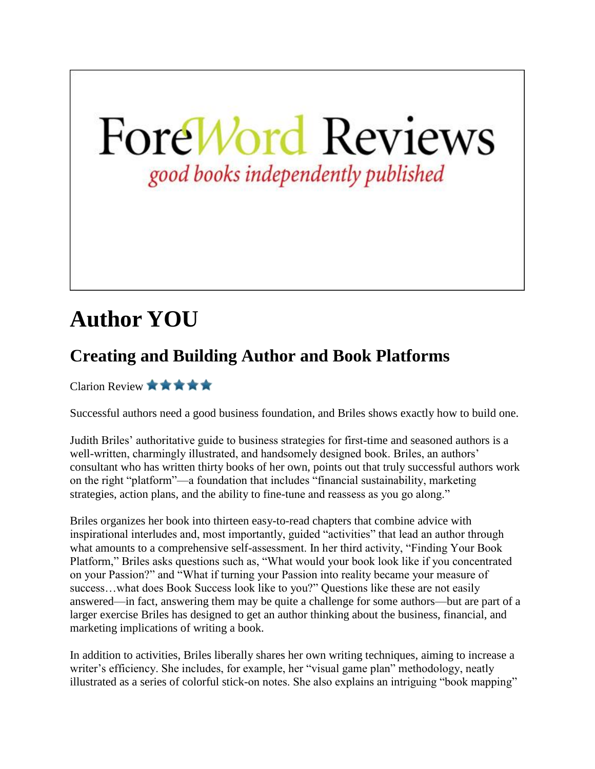## ForeWord Reviews good books independently published

## **Author YOU**

## **Creating and Building Author and Book Platforms**

Clarion Review **★ ★ ★ ★ ★** 

Successful authors need a good business foundation, and Briles shows exactly how to build one.

Judith Briles' authoritative guide to business strategies for first-time and seasoned authors is a well-written, charmingly illustrated, and handsomely designed book. Briles, an authors' consultant who has written thirty books of her own, points out that truly successful authors work on the right "platform"—a foundation that includes "financial sustainability, marketing strategies, action plans, and the ability to fine-tune and reassess as you go along."

Briles organizes her book into thirteen easy-to-read chapters that combine advice with inspirational interludes and, most importantly, guided "activities" that lead an author through what amounts to a comprehensive self-assessment. In her third activity, "Finding Your Book Platform," Briles asks questions such as, "What would your book look like if you concentrated on your Passion?" and "What if turning your Passion into reality became your measure of success…what does Book Success look like to you?" Questions like these are not easily answered—in fact, answering them may be quite a challenge for some authors—but are part of a larger exercise Briles has designed to get an author thinking about the business, financial, and marketing implications of writing a book.

In addition to activities, Briles liberally shares her own writing techniques, aiming to increase a writer's efficiency. She includes, for example, her "visual game plan" methodology, neatly illustrated as a series of colorful stick-on notes. She also explains an intriguing "book mapping"